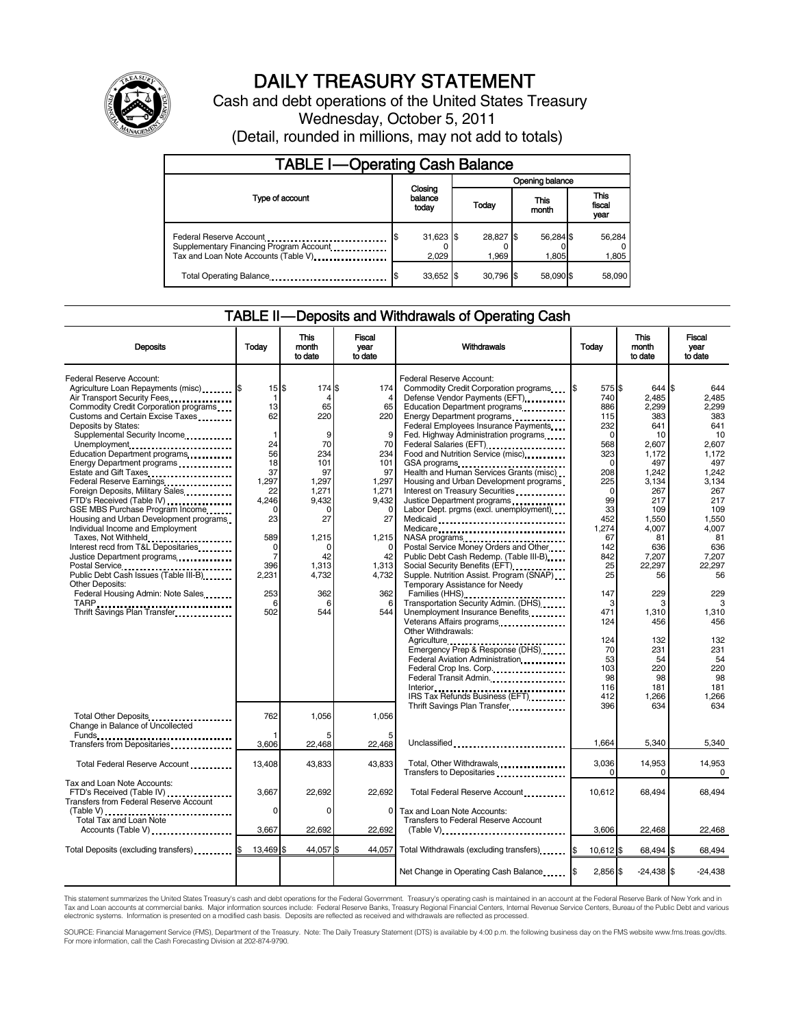

# DAILY TREASURY STATEMENT

Cash and debt operations of the United States Treasury Wednesday, October 5, 2011 (Detail, rounded in millions, may not add to totals)

| <b>TABLE I-Operating Cash Balance</b>                                                                       |                             |                    |                    |                               |  |  |  |
|-------------------------------------------------------------------------------------------------------------|-----------------------------|--------------------|--------------------|-------------------------------|--|--|--|
|                                                                                                             |                             | Opening balance    |                    |                               |  |  |  |
| Type of account                                                                                             | Closing<br>balance<br>today | Today              | This<br>month      | <b>This</b><br>fiscal<br>year |  |  |  |
| Federal Reserve Account<br>Supplementary Financing Program Account<br>Tax and Loan Note Accounts (Table V). | $31,623$ \$<br>2,029        | 28,827 \$<br>1.969 | 56,284 \$<br>1.805 | 56,284<br>1,805               |  |  |  |
| Total Operating Balance                                                                                     | 33,652 \$                   | 30.796 \$          | 58.090 \$          | 58,090                        |  |  |  |

### TABLE II — Deposits and Withdrawals of Operating Cash

| <b>Deposits</b>                                                                                                                                                                                                                                                                                                                                                                                                                                                                                                                                                                                                                                                                                                                                                                                                                                                                                   | Today                                                                                                                                                                               | This<br>month<br>to date                                                                                                                                                | Fiscal<br>vear<br>to date                                                                                                                                       | Withdrawals                                                                                                                                                                                                                                                                                                                                                                                                                                                                                                                                                                                                                                                                                                                                                                                                                                                                                                                   | Today                                                                                                                                                                                                  | This<br>month<br>to date                                                                                                                                                                                | Fiscal<br>vear<br>to date                                                                                                                                                                            |
|---------------------------------------------------------------------------------------------------------------------------------------------------------------------------------------------------------------------------------------------------------------------------------------------------------------------------------------------------------------------------------------------------------------------------------------------------------------------------------------------------------------------------------------------------------------------------------------------------------------------------------------------------------------------------------------------------------------------------------------------------------------------------------------------------------------------------------------------------------------------------------------------------|-------------------------------------------------------------------------------------------------------------------------------------------------------------------------------------|-------------------------------------------------------------------------------------------------------------------------------------------------------------------------|-----------------------------------------------------------------------------------------------------------------------------------------------------------------|-------------------------------------------------------------------------------------------------------------------------------------------------------------------------------------------------------------------------------------------------------------------------------------------------------------------------------------------------------------------------------------------------------------------------------------------------------------------------------------------------------------------------------------------------------------------------------------------------------------------------------------------------------------------------------------------------------------------------------------------------------------------------------------------------------------------------------------------------------------------------------------------------------------------------------|--------------------------------------------------------------------------------------------------------------------------------------------------------------------------------------------------------|---------------------------------------------------------------------------------------------------------------------------------------------------------------------------------------------------------|------------------------------------------------------------------------------------------------------------------------------------------------------------------------------------------------------|
| Federal Reserve Account:<br>Agriculture Loan Repayments (misc) \$<br>Air Transport Security Fees<br>Commodity Credit Corporation programs<br>Customs and Certain Excise Taxes<br>Deposits by States:<br>Supplemental Security Income<br>Unemployment<br>Education Department programs<br>Energy Department programs<br>Estate and Gift Taxes<br>Federal Reserve Earnings<br>Foreign Deposits, Military Sales<br>FTD's Received (Table IV)<br>GSE MBS Purchase Program Income<br>Housing and Urban Development programs<br>Individual Income and Employment<br>Taxes, Not Withheld<br>Interest recd from T&L Depositaries<br>Justice Department programs<br>Postal Service<br>Public Debt Cash Issues (Table III-B)<br>The Line of Cash Issues (Table III-B)<br><b>Other Deposits:</b><br>Federal Housing Admin: Note Sales<br>Thrift Savings Plan Transfer<br>1996 - Thrift Savings Plan Transfer | 15S<br>$\mathbf 1$<br>13<br>62<br>$\mathbf 1$<br>24<br>56<br>18<br>37<br>1.297<br>22<br>4,246<br>$\mathbf 0$<br>23<br>589<br>0<br>$\overline{7}$<br>396<br>2,231<br>253<br>6<br>502 | 174 \$<br>4<br>65<br>220<br>9<br>70<br>234<br>101<br>97<br>1,297<br>1,271<br>9.432<br>$\mathbf 0$<br>27<br>1,215<br>$\Omega$<br>42<br>1,313<br>4,732<br>362<br>6<br>544 | 174<br>65<br>220<br>9<br>70<br>234<br>101<br>97<br>1,297<br>1,271<br>9.432<br>$\mathbf 0$<br>27<br>1,215<br>$\Omega$<br>42<br>1,313<br>4,732<br>362<br>6<br>544 | Federal Reserve Account:<br>Commodity Credit Corporation programs<br>Defense Vendor Payments (EFT)<br>Education Department programs<br>Energy Department programs<br>Federal Employees Insurance Payments<br>Fed. Highway Administration programs<br>Federal Salaries (EFT)<br>Food and Nutrition Service (misc)<br>Health and Human Services Grants (misc)<br>Housing and Urban Development programs<br>Interest on Treasury Securities<br>Justice Department programs<br>Labor Dept. prgms (excl. unemployment)<br>Medicaid<br>Medicare<br>NASA programs<br>Postal Service Money Orders and Other<br>Public Debt Cash Redemp. (Table III-B)<br>Social Security Benefits (EFT)<br>1991 - The Social Security Benefits (EFT)<br>Supple. Nutrition Assist. Program (SNAP)<br>Temporary Assistance for Needy<br>Families (HHS)<br>Transportation Security Admin. (DHS)<br>Unemployment Insurance Benefits<br>Other Withdrawals: | I\$<br>575 \$<br>740<br>886<br>115<br>232<br>$\Omega$<br>568<br>323<br>$\Omega$<br>208<br>225<br>$\Omega$<br>99<br>33<br>452<br>1,274<br>67<br>142<br>842<br>25<br>25<br>147<br>3<br>471<br>124<br>124 | 644 \$<br>2,485<br>2,299<br>383<br>641<br>10<br>2.607<br>1,172<br>497<br>1,242<br>3,134<br>267<br>217<br>109<br>1,550<br>4,007<br>81<br>636<br>7.207<br>22,297<br>56<br>229<br>3<br>1,310<br>456<br>132 | 644<br>2.485<br>2.299<br>383<br>641<br>10<br>2.607<br>1,172<br>497<br>1,242<br>3.134<br>267<br>217<br>109<br>1,550<br>4.007<br>81<br>636<br>7.207<br>22,297<br>56<br>229<br>3<br>1.310<br>456<br>132 |
| Total Other Deposits                                                                                                                                                                                                                                                                                                                                                                                                                                                                                                                                                                                                                                                                                                                                                                                                                                                                              | 762                                                                                                                                                                                 | 1,056                                                                                                                                                                   | 1.056                                                                                                                                                           | Emergency Prep & Response (DHS)<br>Federal Aviation Administration<br>Federal Crop Ins. Corp.<br>Federal Transit Admin.<br>Interior<br>IRS Tax Refunds Business (EFT)<br>Thrift Savings Plan Transfer                                                                                                                                                                                                                                                                                                                                                                                                                                                                                                                                                                                                                                                                                                                         | 70<br>53<br>103<br>98<br>116<br>412<br>396                                                                                                                                                             | 231<br>54<br>220<br>98<br>181<br>1,266<br>634                                                                                                                                                           | 231<br>54<br>220<br>98<br>181<br>1,266<br>634                                                                                                                                                        |
| Change in Balance of Uncollected<br>Funds<br>Transfers from Depositaries                                                                                                                                                                                                                                                                                                                                                                                                                                                                                                                                                                                                                                                                                                                                                                                                                          | 3,606                                                                                                                                                                               | 22,468                                                                                                                                                                  | 22,468                                                                                                                                                          | Unclassified                                                                                                                                                                                                                                                                                                                                                                                                                                                                                                                                                                                                                                                                                                                                                                                                                                                                                                                  | 1,664                                                                                                                                                                                                  | 5,340                                                                                                                                                                                                   | 5,340                                                                                                                                                                                                |
| Total Federal Reserve Account                                                                                                                                                                                                                                                                                                                                                                                                                                                                                                                                                                                                                                                                                                                                                                                                                                                                     | 13,408                                                                                                                                                                              | 43,833                                                                                                                                                                  | 43,833                                                                                                                                                          | Total, Other Withdrawals<br>Transfers to Depositaries                                                                                                                                                                                                                                                                                                                                                                                                                                                                                                                                                                                                                                                                                                                                                                                                                                                                         | 3,036<br>$\Omega$                                                                                                                                                                                      | 14,953<br>0                                                                                                                                                                                             | 14,953<br>$\Omega$                                                                                                                                                                                   |
| Tax and Loan Note Accounts:<br>FTD's Received (Table IV)<br><b>Transfers from Federal Reserve Account</b><br>$(Table V)$<br><b>Total Tax and Loan Note</b>                                                                                                                                                                                                                                                                                                                                                                                                                                                                                                                                                                                                                                                                                                                                        | 3.667<br>0                                                                                                                                                                          | 22,692<br>0                                                                                                                                                             | 22.692<br>$\mathbf 0$                                                                                                                                           | Total Federal Reserve Account<br>Tax and Loan Note Accounts:<br>Transfers to Federal Reserve Account                                                                                                                                                                                                                                                                                                                                                                                                                                                                                                                                                                                                                                                                                                                                                                                                                          | 10.612                                                                                                                                                                                                 | 68.494                                                                                                                                                                                                  | 68.494                                                                                                                                                                                               |
| Accounts (Table V)                                                                                                                                                                                                                                                                                                                                                                                                                                                                                                                                                                                                                                                                                                                                                                                                                                                                                | 3,667                                                                                                                                                                               | 22,692                                                                                                                                                                  | 22,692                                                                                                                                                          | $(Table V)$                                                                                                                                                                                                                                                                                                                                                                                                                                                                                                                                                                                                                                                                                                                                                                                                                                                                                                                   | 3,606                                                                                                                                                                                                  | 22,468                                                                                                                                                                                                  | 22,468                                                                                                                                                                                               |
| Total Deposits (excluding transfers) [8]                                                                                                                                                                                                                                                                                                                                                                                                                                                                                                                                                                                                                                                                                                                                                                                                                                                          | 13,469 \$                                                                                                                                                                           | 44,057 \$                                                                                                                                                               | 44.057                                                                                                                                                          | Total Withdrawals (excluding transfers) [\$                                                                                                                                                                                                                                                                                                                                                                                                                                                                                                                                                                                                                                                                                                                                                                                                                                                                                   | $10.612$ S                                                                                                                                                                                             | 68.494 \$                                                                                                                                                                                               | 68.494                                                                                                                                                                                               |
|                                                                                                                                                                                                                                                                                                                                                                                                                                                                                                                                                                                                                                                                                                                                                                                                                                                                                                   |                                                                                                                                                                                     |                                                                                                                                                                         |                                                                                                                                                                 | Net Change in Operating Cash Balance                                                                                                                                                                                                                                                                                                                                                                                                                                                                                                                                                                                                                                                                                                                                                                                                                                                                                          | 2,856 \$                                                                                                                                                                                               | $-24,438$ \$                                                                                                                                                                                            | $-24,438$                                                                                                                                                                                            |

This statement summarizes the United States Treasury's cash and debt operations for the Federal Government. Treasury's operating cash is maintained in an account at the Federal Reserve Bank of New York and in<br>Tax and Loan

SOURCE: Financial Management Service (FMS), Department of the Treasury. Note: The Daily Treasury Statement (DTS) is available by 4:00 p.m. the following business day on the FMS website www.fms.treas.gov/dts.<br>For more infor